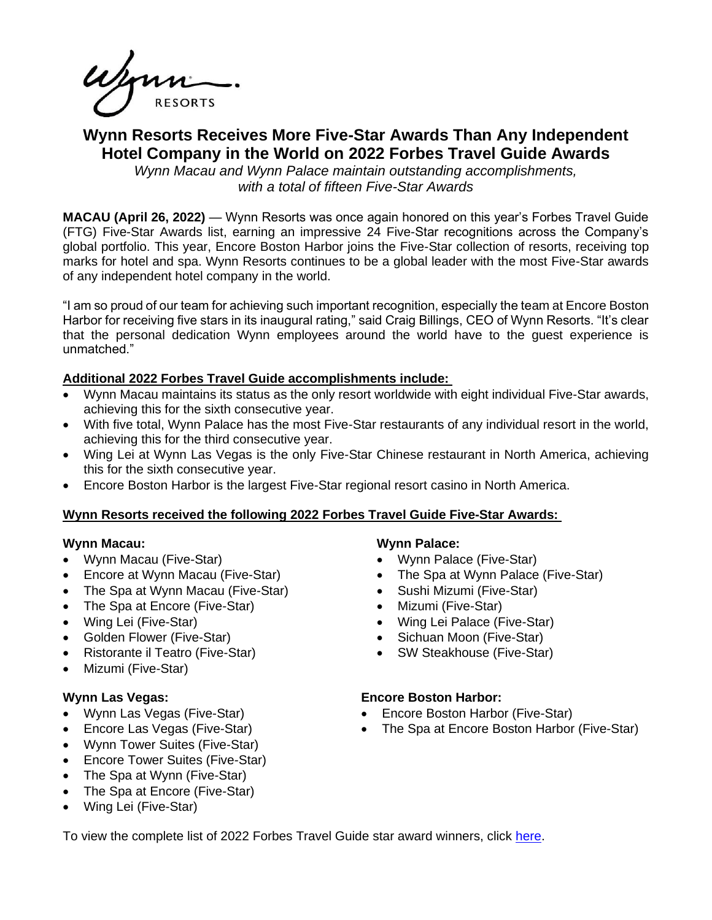# **Wynn Resorts Receives More Five-Star Awards Than Any Independent Hotel Company in the World on 2022 Forbes Travel Guide Awards**

*Wynn Macau and Wynn Palace maintain outstanding accomplishments, with a total of fifteen Five-Star Awards*

**MACAU (April 26, 2022)** — Wynn Resorts was once again honored on this year's Forbes Travel Guide (FTG) Five-Star Awards list, earning an impressive 24 Five-Star recognitions across the Company's global portfolio. This year, Encore Boston Harbor joins the Five-Star collection of resorts, receiving top marks for hotel and spa. Wynn Resorts continues to be a global leader with the most Five-Star awards of any independent hotel company in the world.

"I am so proud of our team for achieving such important recognition, especially the team at Encore Boston Harbor for receiving five stars in its inaugural rating," said Craig Billings, CEO of Wynn Resorts. "It's clear that the personal dedication Wynn employees around the world have to the guest experience is unmatched."

# **Additional 2022 Forbes Travel Guide accomplishments include:**

- Wynn Macau maintains its status as the only resort worldwide with eight individual Five-Star awards, achieving this for the sixth consecutive year.
- With five total, Wynn Palace has the most Five-Star restaurants of any individual resort in the world, achieving this for the third consecutive year.
- Wing Lei at Wynn Las Vegas is the only Five-Star Chinese restaurant in North America, achieving this for the sixth consecutive year.
- Encore Boston Harbor is the largest Five-Star regional resort casino in North America.

# **Wynn Resorts received the following 2022 Forbes Travel Guide Five-Star Awards:**

#### **Wynn Macau:**

- Wynn Macau (Five-Star)
- Encore at Wynn Macau (Five-Star)
- The Spa at Wynn Macau (Five-Star)
- The Spa at Encore (Five-Star)
- Wing Lei (Five-Star)
- Golden Flower (Five-Star)
- Ristorante il Teatro (Five-Star)
- Mizumi (Five-Star)

# **Wynn Las Vegas:**

- Wynn Las Vegas (Five-Star)
- Encore Las Vegas (Five-Star)
- Wynn Tower Suites (Five-Star)
- Encore Tower Suites (Five-Star)
- The Spa at Wynn (Five-Star)
- The Spa at Encore (Five-Star)
- Wing Lei (Five-Star)

# **Wynn Palace:**

- Wynn Palace (Five-Star)
- The Spa at Wynn Palace (Five-Star)
- Sushi Mizumi (Five-Star)
- Mizumi (Five-Star)
- Wing Lei Palace (Five-Star)
- Sichuan Moon (Five-Star)
- SW Steakhouse (Five-Star)

# **Encore Boston Harbor:**

- Encore Boston Harbor (Five-Star)
- The Spa at Encore Boston Harbor (Five-Star)

To view the complete list of 2022 Forbes Travel Guide star award winners, click [here.](https://www.forbestravelguide.com/award-winners)